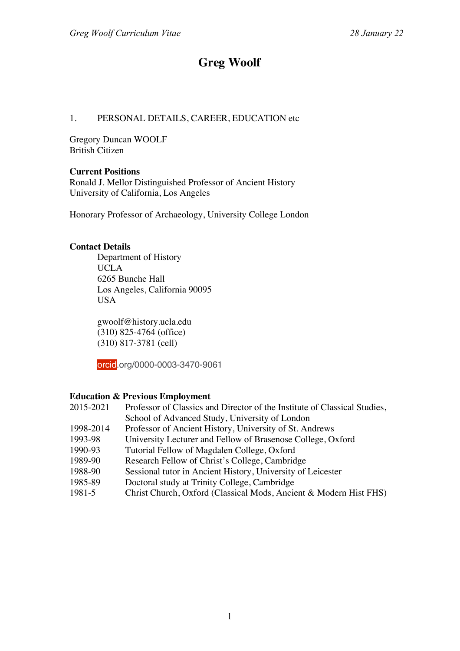## **Greg Woolf**

## 1. PERSONAL DETAILS, CAREER, EDUCATION etc

Gregory Duncan WOOLF British Citizen

#### **Current Positions**

Ronald J. Mellor Distinguished Professor of Ancient History University of California, Los Angeles

Honorary Professor of Archaeology, University College London

## **Contact Details**

Department of History UCLA 6265 Bunche Hall Los Angeles, California 90095 USA

gwoolf@history.ucla.edu (310) 825-4764 (office) (310) 817-3781 (cell)

orcid.org/0000-0003-3470-9061

## **Education & Previous Employment**

| 2015-2021 | Professor of Classics and Director of the Institute of Classical Studies, |
|-----------|---------------------------------------------------------------------------|
|           | School of Advanced Study, University of London                            |
| 1998-2014 | Professor of Ancient History, University of St. Andrews                   |
| 1993-98   | University Lecturer and Fellow of Brasenose College, Oxford               |
| 1990-93   | Tutorial Fellow of Magdalen College, Oxford                               |
| 1989-90   | Research Fellow of Christ's College, Cambridge                            |
| 1988-90   | Sessional tutor in Ancient History, University of Leicester               |
| 1985-89   | Doctoral study at Trinity College, Cambridge                              |
| 1981-5    | Christ Church, Oxford (Classical Mods, Ancient & Modern Hist FHS)         |
|           |                                                                           |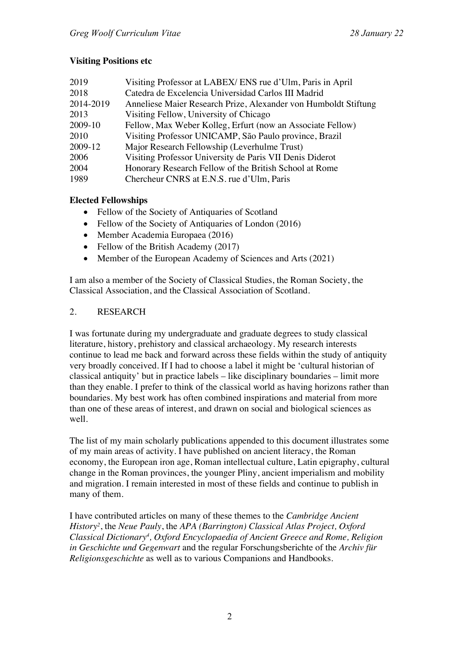## **Visiting Positions etc**

| 2019      | Visiting Professor at LABEX/ ENS rue d'Ulm, Paris in April      |
|-----------|-----------------------------------------------------------------|
| 2018      | Catedra de Excelencia Universidad Carlos III Madrid             |
| 2014-2019 | Anneliese Maier Research Prize, Alexander von Humboldt Stiftung |
| 2013      | Visiting Fellow, University of Chicago                          |
| 2009-10   | Fellow, Max Weber Kolleg, Erfurt (now an Associate Fellow)      |
| 2010      | Visiting Professor UNICAMP, São Paulo province, Brazil          |
| 2009-12   | Major Research Fellowship (Leverhulme Trust)                    |
| 2006      | Visiting Professor University de Paris VII Denis Diderot        |
| 2004      | Honorary Research Fellow of the British School at Rome          |
| 1989      | Chercheur CNRS at E.N.S. rue d'Ulm, Paris                       |

## **Elected Fellowships**

- Fellow of the Society of Antiquaries of Scotland
- Fellow of the Society of Antiquaries of London (2016)
- Member Academia Europaea (2016)
- Fellow of the British Academy (2017)
- Member of the European Academy of Sciences and Arts (2021)

I am also a member of the Society of Classical Studies, the Roman Society, the Classical Association, and the Classical Association of Scotland.

## 2. RESEARCH

I was fortunate during my undergraduate and graduate degrees to study classical literature, history, prehistory and classical archaeology. My research interests continue to lead me back and forward across these fields within the study of antiquity very broadly conceived. If I had to choose a label it might be 'cultural historian of classical antiquity' but in practice labels – like disciplinary boundaries – limit more than they enable. I prefer to think of the classical world as having horizons rather than boundaries. My best work has often combined inspirations and material from more than one of these areas of interest, and drawn on social and biological sciences as well.

The list of my main scholarly publications appended to this document illustrates some of my main areas of activity. I have published on ancient literacy, the Roman economy, the European iron age, Roman intellectual culture, Latin epigraphy, cultural change in the Roman provinces, the younger Pliny, ancient imperialism and mobility and migration. I remain interested in most of these fields and continue to publish in many of them.

I have contributed articles on many of these themes to the *Cambridge Ancient History2* , the *Neue Pauly*, the *APA (Barrington) Classical Atlas Project, Oxford Classical Dictionary4 , Oxford Encyclopaedia of Ancient Greece and Rome, Religion in Geschichte und Gegenwart* and the regular Forschungsberichte of the *Archiv für Religionsgeschichte* as well as to various Companions and Handbooks.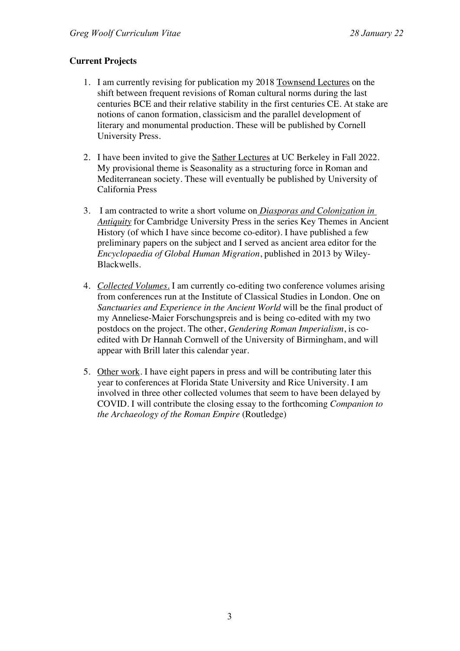## **Current Projects**

- 1. I am currently revising for publication my 2018 Townsend Lectures on the shift between frequent revisions of Roman cultural norms during the last centuries BCE and their relative stability in the first centuries CE. At stake are notions of canon formation, classicism and the parallel development of literary and monumental production. These will be published by Cornell University Press.
- 2. I have been invited to give the Sather Lectures at UC Berkeley in Fall 2022. My provisional theme is Seasonality as a structuring force in Roman and Mediterranean society. These will eventually be published by University of California Press
- 3. I am contracted to write a short volume on *Diasporas and Colonization in Antiquity* for Cambridge University Press in the series Key Themes in Ancient History (of which I have since become co-editor). I have published a few preliminary papers on the subject and I served as ancient area editor for the *Encyclopaedia of Global Human Migration*, published in 2013 by Wiley-Blackwells.
- 4. *Collected Volumes.* I am currently co-editing two conference volumes arising from conferences run at the Institute of Classical Studies in London. One on *Sanctuaries and Experience in the Ancient World* will be the final product of my Anneliese-Maier Forschungspreis and is being co-edited with my two postdocs on the project. The other, *Gendering Roman Imperialism*, is coedited with Dr Hannah Cornwell of the University of Birmingham, and will appear with Brill later this calendar year.
- 5. Other work. I have eight papers in press and will be contributing later this year to conferences at Florida State University and Rice University. I am involved in three other collected volumes that seem to have been delayed by COVID. I will contribute the closing essay to the forthcoming *Companion to the Archaeology of the Roman Empire* (Routledge)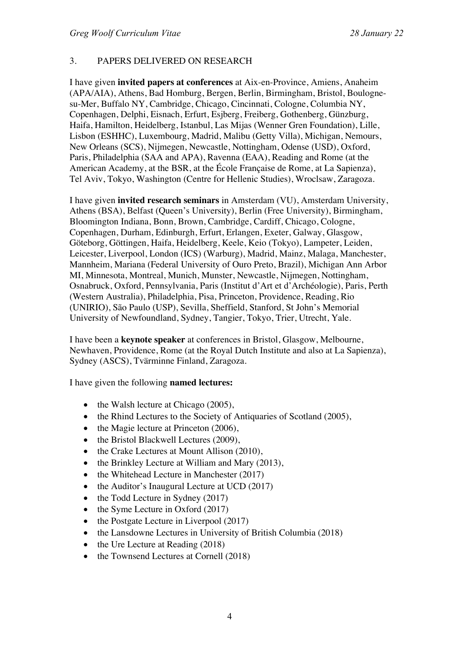## 3. PAPERS DELIVERED ON RESEARCH

I have given **invited papers at conferences** at Aix-en-Province, Amiens, Anaheim (APA/AIA), Athens, Bad Homburg, Bergen, Berlin, Birmingham, Bristol, Boulognesu-Mer, Buffalo NY, Cambridge, Chicago, Cincinnati, Cologne, Columbia NY, Copenhagen, Delphi, Eisnach, Erfurt, Esjberg, Freiberg, Gothenberg, Günzburg, Haifa, Hamilton, Heidelberg, Istanbul, Las Mijas (Wenner Gren Foundation), Lille, Lisbon (ESHHC), Luxembourg, Madrid, Malibu (Getty Villa), Michigan, Nemours, New Orleans (SCS), Nijmegen, Newcastle, Nottingham, Odense (USD), Oxford, Paris, Philadelphia (SAA and APA), Ravenna (EAA), Reading and Rome (at the American Academy, at the BSR, at the École Française de Rome, at La Sapienza), Tel Aviv, Tokyo, Washington (Centre for Hellenic Studies), Wroclsaw, Zaragoza.

I have given **invited research seminars** in Amsterdam (VU), Amsterdam University, Athens (BSA), Belfast (Queen's University), Berlin (Free University), Birmingham, Bloomington Indiana, Bonn, Brown, Cambridge, Cardiff, Chicago, Cologne, Copenhagen, Durham, Edinburgh, Erfurt, Erlangen, Exeter, Galway, Glasgow, Göteborg, Göttingen, Haifa, Heidelberg, Keele, Keio (Tokyo), Lampeter, Leiden, Leicester, Liverpool, London (ICS) (Warburg), Madrid, Mainz, Malaga, Manchester, Mannheim, Mariana (Federal University of Ouro Preto, Brazil), Michigan Ann Arbor MI, Minnesota, Montreal, Munich, Munster, Newcastle, Nijmegen, Nottingham, Osnabruck, Oxford, Pennsylvania, Paris (Institut d'Art et d'Archéologie), Paris, Perth (Western Australia), Philadelphia, Pisa, Princeton, Providence, Reading, Rio (UNIRIO), São Paulo (USP), Sevilla, Sheffield, Stanford, St John's Memorial University of Newfoundland, Sydney, Tangier, Tokyo, Trier, Utrecht, Yale.

I have been a **keynote speaker** at conferences in Bristol, Glasgow, Melbourne, Newhaven, Providence, Rome (at the Royal Dutch Institute and also at La Sapienza), Sydney (ASCS), Tvärminne Finland, Zaragoza.

I have given the following **named lectures:** 

- the Walsh lecture at Chicago (2005),
- the Rhind Lectures to the Society of Antiquaries of Scotland (2005),
- the Magie lecture at Princeton (2006),
- the Bristol Blackwell Lectures (2009),
- the Crake Lectures at Mount Allison (2010),
- the Brinkley Lecture at William and Mary (2013),
- the Whitehead Lecture in Manchester (2017)
- the Auditor's Inaugural Lecture at UCD (2017)
- the Todd Lecture in Sydney (2017)
- the Syme Lecture in Oxford (2017)
- the Postgate Lecture in Liverpool (2017)
- the Lansdowne Lectures in University of British Columbia (2018)
- the Ure Lecture at Reading (2018)
- the Townsend Lectures at Cornell (2018)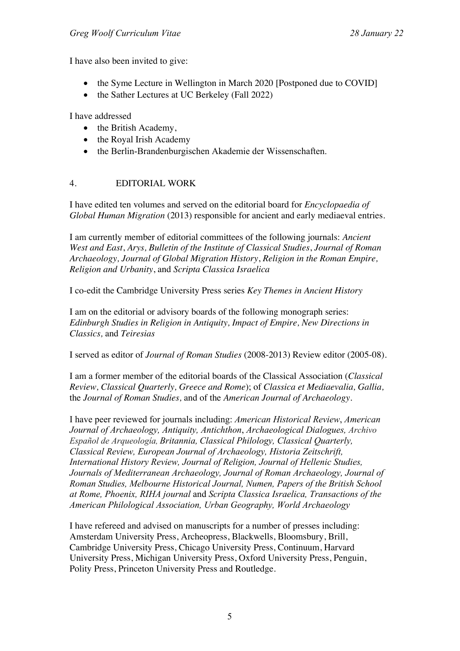I have also been invited to give:

- the Syme Lecture in Wellington in March 2020 [Postponed due to COVID]
- the Sather Lectures at UC Berkeley (Fall 2022)

I have addressed

- the British Academy,
- the Royal Irish Academy
- the Berlin-Brandenburgischen Akademie der Wissenschaften.

## 4. EDITORIAL WORK

I have edited ten volumes and served on the editorial board for *Encyclopaedia of Global Human Migration* (2013) responsible for ancient and early mediaeval entries.

I am currently member of editorial committees of the following journals: *Ancient West and East*, *Arys, Bulletin of the Institute of Classical Studies*, *Journal of Roman Archaeology, Journal of Global Migration History*, *Religion in the Roman Empire, Religion and Urbanity*, and *Scripta Classica Israelica*

I co-edit the Cambridge University Press series *Key Themes in Ancient History*

I am on the editorial or advisory boards of the following monograph series: *Edinburgh Studies in Religion in Antiquity, Impact of Empire, New Directions in Classics,* and *Teiresias*

I served as editor of *Journal of Roman Studies* (2008-2013) Review editor (2005-08).

I am a former member of the editorial boards of the Classical Association (*Classical Review, Classical Quarterly, Greece and Rome*); of *Classica et Mediaevalia, Gallia,*  the *Journal of Roman Studies,* and of the *American Journal of Archaeology.*

I have peer reviewed for journals including: *American Historical Review*, *American Journal of Archaeology, Antiquity, Antichthon*, *Archaeological Dialogues, Archivo Español de Arqueología, Britannia, Classical Philology, Classical Quarterly, Classical Review, European Journal of Archaeology, Historia Zeitschrift, International History Review, Journal of Religion, Journal of Hellenic Studies, Journals of Mediterranean Archaeology, Journal of Roman Archaeology, Journal of Roman Studies, Melbourne Historical Journal, Numen, Papers of the British School at Rome, Phoenix, RIHA journal* and *Scripta Classica Israelica, Transactions of the American Philological Association, Urban Geography, World Archaeology*

I have refereed and advised on manuscripts for a number of presses including: Amsterdam University Press, Archeopress, Blackwells, Bloomsbury, Brill, Cambridge University Press, Chicago University Press, Continuum, Harvard University Press, Michigan University Press, Oxford University Press, Penguin, Polity Press, Princeton University Press and Routledge.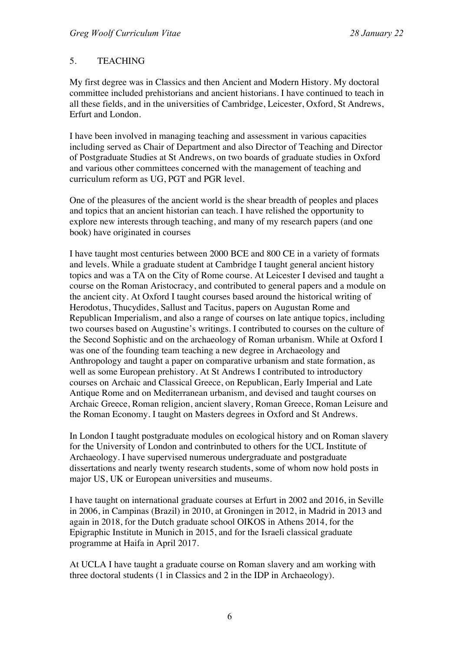## 5. TEACHING

My first degree was in Classics and then Ancient and Modern History. My doctoral committee included prehistorians and ancient historians. I have continued to teach in all these fields, and in the universities of Cambridge, Leicester, Oxford, St Andrews, Erfurt and London.

I have been involved in managing teaching and assessment in various capacities including served as Chair of Department and also Director of Teaching and Director of Postgraduate Studies at St Andrews, on two boards of graduate studies in Oxford and various other committees concerned with the management of teaching and curriculum reform as UG, PGT and PGR level.

One of the pleasures of the ancient world is the shear breadth of peoples and places and topics that an ancient historian can teach. I have relished the opportunity to explore new interests through teaching, and many of my research papers (and one book) have originated in courses

I have taught most centuries between 2000 BCE and 800 CE in a variety of formats and levels. While a graduate student at Cambridge I taught general ancient history topics and was a TA on the City of Rome course. At Leicester I devised and taught a course on the Roman Aristocracy, and contributed to general papers and a module on the ancient city. At Oxford I taught courses based around the historical writing of Herodotus, Thucydides, Sallust and Tacitus, papers on Augustan Rome and Republican Imperialism, and also a range of courses on late antique topics, including two courses based on Augustine's writings. I contributed to courses on the culture of the Second Sophistic and on the archaeology of Roman urbanism. While at Oxford I was one of the founding team teaching a new degree in Archaeology and Anthropology and taught a paper on comparative urbanism and state formation, as well as some European prehistory. At St Andrews I contributed to introductory courses on Archaic and Classical Greece, on Republican, Early Imperial and Late Antique Rome and on Mediterranean urbanism, and devised and taught courses on Archaic Greece, Roman religion, ancient slavery, Roman Greece, Roman Leisure and the Roman Economy. I taught on Masters degrees in Oxford and St Andrews.

In London I taught postgraduate modules on ecological history and on Roman slavery for the University of London and contrinbuted to others for the UCL Institute of Archaeology. I have supervised numerous undergraduate and postgraduate dissertations and nearly twenty research students, some of whom now hold posts in major US, UK or European universities and museums.

I have taught on international graduate courses at Erfurt in 2002 and 2016, in Seville in 2006, in Campinas (Brazil) in 2010, at Groningen in 2012, in Madrid in 2013 and again in 2018, for the Dutch graduate school OIKOS in Athens 2014, for the Epigraphic Institute in Munich in 2015, and for the Israeli classical graduate programme at Haifa in April 2017.

At UCLA I have taught a graduate course on Roman slavery and am working with three doctoral students (1 in Classics and 2 in the IDP in Archaeology).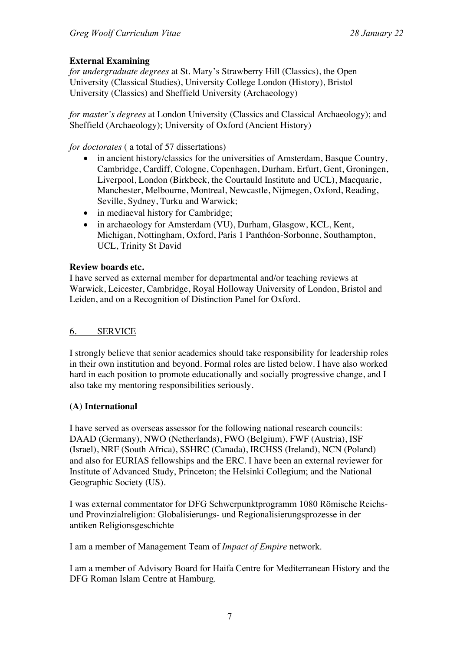## **External Examining**

*for undergraduate degrees* at St. Mary's Strawberry Hill (Classics), the Open University (Classical Studies), University College London (History), Bristol University (Classics) and Sheffield University (Archaeology)

*for master's degrees* at London University (Classics and Classical Archaeology); and Sheffield (Archaeology); University of Oxford (Ancient History)

*for doctorates* ( a total of 57 dissertations)

- in ancient history/classics for the universities of Amsterdam, Basque Country, Cambridge, Cardiff, Cologne, Copenhagen, Durham, Erfurt, Gent, Groningen, Liverpool, London (Birkbeck, the Courtauld Institute and UCL), Macquarie, Manchester, Melbourne, Montreal, Newcastle, Nijmegen, Oxford, Reading, Seville, Sydney, Turku and Warwick;
- in mediaeval history for Cambridge;
- in archaeology for Amsterdam (VU), Durham, Glasgow, KCL, Kent, Michigan, Nottingham, Oxford, Paris 1 Panthéon-Sorbonne, Southampton, UCL, Trinity St David

## **Review boards etc.**

I have served as external member for departmental and/or teaching reviews at Warwick, Leicester, Cambridge, Royal Holloway University of London, Bristol and Leiden, and on a Recognition of Distinction Panel for Oxford.

## 6. SERVICE

I strongly believe that senior academics should take responsibility for leadership roles in their own institution and beyond. Formal roles are listed below. I have also worked hard in each position to promote educationally and socially progressive change, and I also take my mentoring responsibilities seriously.

## **(A) International**

I have served as overseas assessor for the following national research councils: DAAD (Germany), NWO (Netherlands), FWO (Belgium), FWF (Austria), ISF (Israel), NRF (South Africa), SSHRC (Canada), IRCHSS (Ireland), NCN (Poland) and also for EURIAS fellowships and the ERC. I have been an external reviewer for Institute of Advanced Study, Princeton; the Helsinki Collegium; and the National Geographic Society (US).

I was external commentator for DFG Schwerpunktprogramm 1080 Römische Reichsund Provinzialreligion: Globalisierungs- und Regionalisierungsprozesse in der antiken Religionsgeschichte

I am a member of Management Team of *Impact of Empire* network.

I am a member of Advisory Board for Haifa Centre for Mediterranean History and the DFG Roman Islam Centre at Hamburg.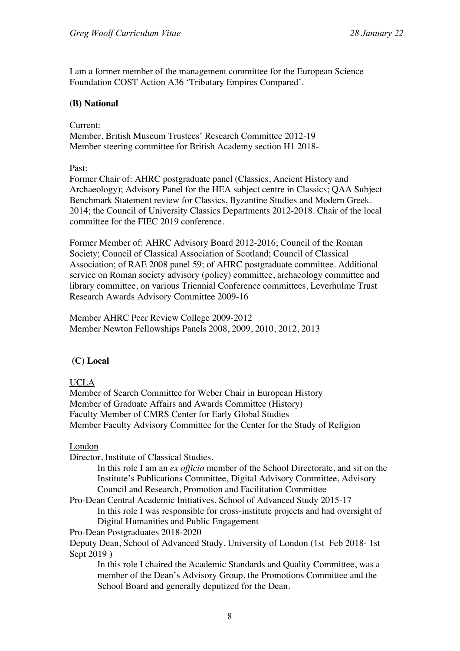I am a former member of the management committee for the European Science Foundation COST Action A36 'Tributary Empires Compared'.

#### **(B) National**

#### Current:

Member, British Museum Trustees' Research Committee 2012-19 Member steering committee for British Academy section H1 2018-

Past:

Former Chair of: AHRC postgraduate panel (Classics, Ancient History and Archaeology); Advisory Panel for the HEA subject centre in Classics; QAA Subject Benchmark Statement review for Classics, Byzantine Studies and Modern Greek. 2014; the Council of University Classics Departments 2012-2018. Chair of the local committee for the FIEC 2019 conference.

Former Member of: AHRC Advisory Board 2012-2016; Council of the Roman Society; Council of Classical Association of Scotland; Council of Classical Association; of RAE 2008 panel 59; of AHRC postgraduate committee. Additional service on Roman society advisory (policy) committee, archaeology committee and library committee, on various Triennial Conference committees, Leverhulme Trust Research Awards Advisory Committee 2009-16

Member AHRC Peer Review College 2009-2012 Member Newton Fellowships Panels 2008, 2009, 2010, 2012, 2013

## **(C) Local**

#### UCLA

Member of Search Committee for Weber Chair in European History Member of Graduate Affairs and Awards Committee (History) Faculty Member of CMRS Center for Early Global Studies Member Faculty Advisory Committee for the Center for the Study of Religion

London

Director, Institute of Classical Studies.

In this role I am an *ex officio* member of the School Directorate, and sit on the Institute's Publications Committee, Digital Advisory Committee, Advisory Council and Research, Promotion and Facilitation Committee

Pro-Dean Central Academic Initiatives, School of Advanced Study 2015-17 In this role I was responsible for cross-institute projects and had oversight of Digital Humanities and Public Engagement

Pro-Dean Postgraduates 2018-2020

Deputy Dean, School of Advanced Study, University of London (1st Feb 2018- 1st Sept 2019 )

In this role I chaired the Academic Standards and Quality Committee, was a member of the Dean's Advisory Group, the Promotions Committee and the School Board and generally deputized for the Dean.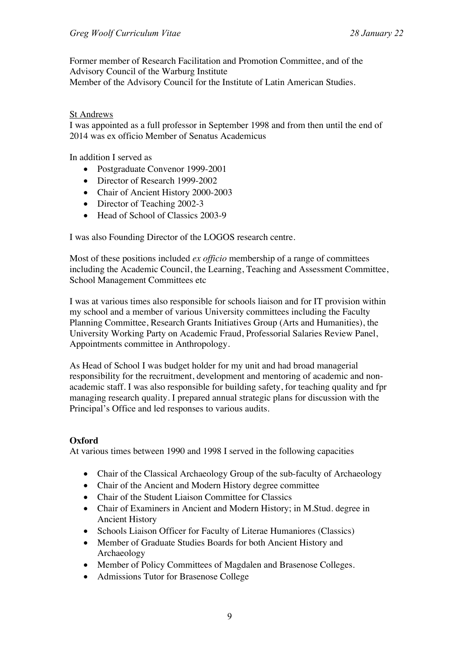Former member of Research Facilitation and Promotion Committee, and of the Advisory Council of the Warburg Institute Member of the Advisory Council for the Institute of Latin American Studies.

#### St Andrews

I was appointed as a full professor in September 1998 and from then until the end of 2014 was ex officio Member of Senatus Academicus

In addition I served as

- Postgraduate Convenor 1999-2001
- Director of Research 1999-2002
- Chair of Ancient History 2000-2003
- Director of Teaching 2002-3
- Head of School of Classics 2003-9

I was also Founding Director of the LOGOS research centre.

Most of these positions included *ex officio* membership of a range of committees including the Academic Council, the Learning, Teaching and Assessment Committee, School Management Committees etc

I was at various times also responsible for schools liaison and for IT provision within my school and a member of various University committees including the Faculty Planning Committee, Research Grants Initiatives Group (Arts and Humanities), the University Working Party on Academic Fraud, Professorial Salaries Review Panel, Appointments committee in Anthropology.

As Head of School I was budget holder for my unit and had broad managerial responsibility for the recruitment, development and mentoring of academic and nonacademic staff. I was also responsible for building safety, for teaching quality and fpr managing research quality. I prepared annual strategic plans for discussion with the Principal's Office and led responses to various audits.

## **Oxford**

At various times between 1990 and 1998 I served in the following capacities

- Chair of the Classical Archaeology Group of the sub-faculty of Archaeology
- Chair of the Ancient and Modern History degree committee
- Chair of the Student Liaison Committee for Classics
- Chair of Examiners in Ancient and Modern History; in M.Stud. degree in Ancient History
- Schools Liaison Officer for Faculty of Literae Humaniores (Classics)
- Member of Graduate Studies Boards for both Ancient History and Archaeology
- Member of Policy Committees of Magdalen and Brasenose Colleges.
- Admissions Tutor for Brasenose College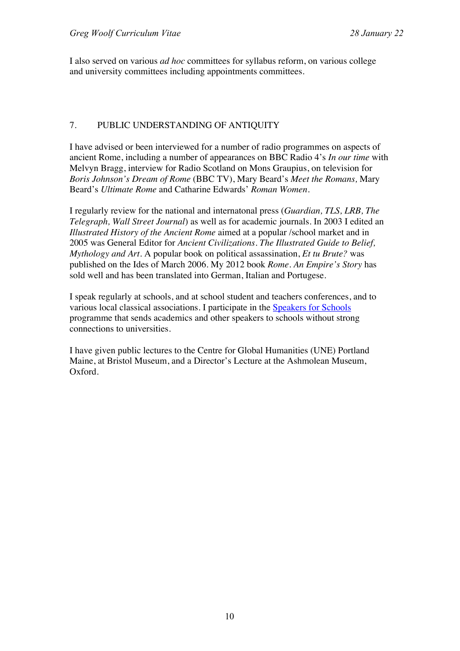I also served on various *ad hoc* committees for syllabus reform, on various college and university committees including appointments committees.

## 7. PUBLIC UNDERSTANDING OF ANTIQUITY

I have advised or been interviewed for a number of radio programmes on aspects of ancient Rome, including a number of appearances on BBC Radio 4's *In our time* with Melvyn Bragg, interview for Radio Scotland on Mons Graupius, on television for *Boris Johnson's Dream of Rome* (BBC TV), Mary Beard's *Meet the Romans,* Mary Beard's *Ultimate Rome* and Catharine Edwards' *Roman Women.*

I regularly review for the national and internatonal press (*Guardian, TLS, LRB, The Telegraph, Wall Street Journal*) as well as for academic journals. In 2003 I edited an *Illustrated History of the Ancient Rome* aimed at a popular /school market and in 2005 was General Editor for *Ancient Civilizations. The Illustrated Guide to Belief, Mythology and Art.* A popular book on political assassination, *Et tu Brute?* was published on the Ides of March 2006. My 2012 book *Rome. An Empire's Story* has sold well and has been translated into German, Italian and Portugese.

I speak regularly at schools, and at school student and teachers conferences, and to various local classical associations. I participate in the Speakers for Schools programme that sends academics and other speakers to schools without strong connections to universities.

I have given public lectures to the Centre for Global Humanities (UNE) Portland Maine, at Bristol Museum, and a Director's Lecture at the Ashmolean Museum, Oxford.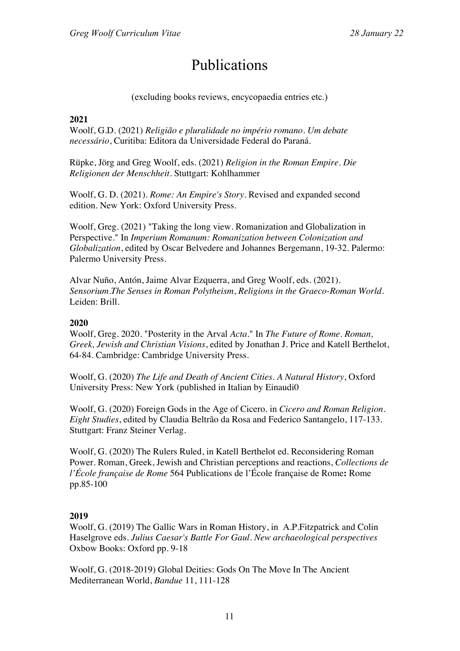# Publications

(excluding books reviews, encycopaedia entries etc.)

#### **2021**

Woolf, G.D. (2021) *Religião e pluralidade no império romano. Um debate necessário*, Curitiba: Editora da Universidade Federal do Paraná.

Rüpke, Jörg and Greg Woolf, eds. (2021) *Religion in the Roman Empire*. *Die Religionen der Menschheit.* Stuttgart: Kohlhammer

Woolf, G. D. (2021). *Rome: An Empire's Story*. Revised and expanded second edition. New York: Oxford University Press.

Woolf, Greg. (2021) "Taking the long view. Romanization and Globalization in Perspective." In *Imperium Romanum: Romanization between Colonization and Globalization*, edited by Oscar Belvedere and Johannes Bergemann, 19-32. Palermo: Palermo University Press.

Alvar Nuño, Antón, Jaime Alvar Ezquerra, and Greg Woolf, eds. (2021). *Sensorium.The Senses in Roman Polytheism*, *Religions in the Graeco-Roman World*. Leiden: Brill.

#### **2020**

Woolf, Greg. 2020. "Posterity in the Arval *Acta*." In *The Future of Rome. Roman, Greek, Jewish and Christian Visions*, edited by Jonathan J. Price and Katell Berthelot, 64-84. Cambridge: Cambridge University Press.

Woolf, G. (2020) *The Life and Death of Ancient Cities. A Natural History*, Oxford University Press: New York (published in Italian by Einaudi0

Woolf, G. (2020) Foreign Gods in the Age of Cicero. in *Cicero and Roman Religion. Eight Studies*, edited by Claudia Beltrão da Rosa and Federico Santangelo, 117-133. Stuttgart: Franz Steiner Verlag.

Woolf, G. (2020) The Rulers Ruled, in Katell Berthelot ed. Reconsidering Roman Power. Roman, Greek, Jewish and Christian perceptions and reactions, *Collections de l'École française de Rome* 564 Publications de l'École française de Rome**:** Rome pp.85-100

## **2019**

Woolf, G. (2019) The Gallic Wars in Roman History, in A.P.Fitzpatrick and Colin Haselgrove eds. *Julius Caesar's Battle For Gaul. New archaeological perspectives* Oxbow Books: Oxford pp. 9-18

Woolf, G. (2018-2019) Global Deities: Gods On The Move In The Ancient Mediterranean World, *Bandue* 11, 111-128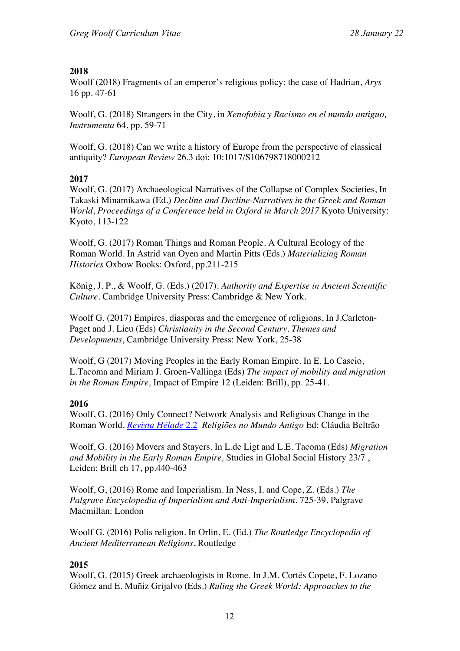## **2018**

Woolf (2018) Fragments of an emperor's religious policy: the case of Hadrian, *Arys*  16 pp. 47-61

Woolf, G. (2018) Strangers in the City, in *Xenofobia y Racismo en el mundo antiguo, Instrumenta* 64, pp. 59-71

Woolf, G. (2018) Can we write a history of Europe from the perspective of classical antiquity? *European Review* 26.3 doi: 10:1017/S106798718000212

## **2017**

Woolf, G. (2017) Archaeological Narratives of the Collapse of Complex Societies, In Takaski Minamikawa (Ed.) *Decline and Decline-Narratives in the Greek and Roman World*, *Proceedings of a Conference held in Oxford in March 2017* Kyoto University: Kyoto, 113-122

Woolf, G. (2017) Roman Things and Roman People. A Cultural Ecology of the Roman World. In Astrid van Oyen and Martin Pitts (Eds.) *Materializing Roman Histories* Oxbow Books: Oxford, pp.211-215

König, J. P., & Woolf, G. (Eds.) (2017). *Authority and Expertise in Ancient Scientific Culture*. Cambridge University Press: Cambridge & New York.

Woolf G. (2017) Empires, diasporas and the emergence of religions, In J.Carleton-Paget and J. Lieu (Eds) *Christianity in the Second Century. Themes and Developments*, Cambridge University Press: New York, 25-38

Woolf, G (2017) Moving Peoples in the Early Roman Empire. In E. Lo Cascio, L.Tacoma and Miriam J. Groen-Vallinga (Eds) *The impact of mobility and migration in the Roman Empire,* Impact of Empire 12 (Leiden: Brill), pp. 25-41.

## **2016**

Woolf, G. (2016) Only Connect? Network Analysis and Religious Change in the Roman World. *Revista Hélade* 2.2 *Religiões no Mundo Antigo* Ed: Cláudia Beltrão

Woolf, G. (2016) Movers and Stayers. In L.de Ligt and L.E. Tacoma (Eds) *Migration and Mobility in the Early Roman Empire,* Studies in Global Social History 23/7 , Leiden: Brill ch 17, pp.440-463

Woolf, G, (2016) Rome and Imperialism. In Ness, I. and Cope, Z. (Eds.) *The Palgrave Encyclopedia of Imperialism and Anti-Imperialism*. 725-39, Palgrave Macmillan: London

Woolf G. (2016) Polis religion. In Orlin, E. (Ed.) *The Routledge Encyclopedia of Ancient Mediterranean Religions*, Routledge

## **2015**

Woolf, G. (2015) Greek archaeologists in Rome. In J.M. Cortés Copete, F. Lozano Gómez and E. Muñiz Grijalvo (Eds.) *Ruling the Greek World: Approaches to the*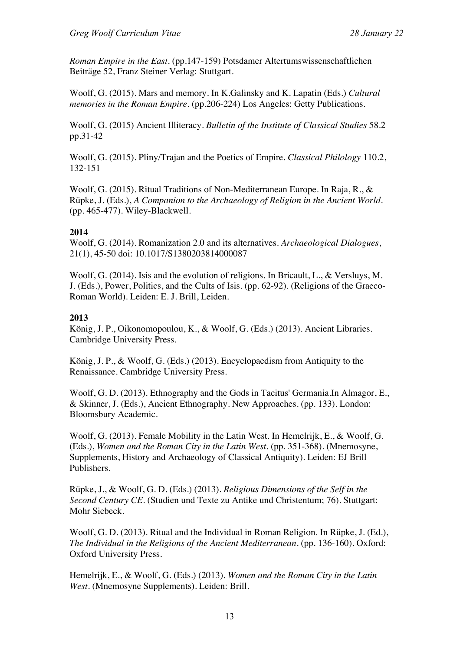*Roman Empire in the East.* (pp.147-159) Potsdamer Altertumswissenschaftlichen Beiträge 52, Franz Steiner Verlag: Stuttgart.

Woolf, G. (2015). Mars and memory. In K.Galinsky and K. Lapatin (Eds.) *Cultural memories in the Roman Empire*. (pp.206-224) Los Angeles: Getty Publications.

Woolf, G. (2015) Ancient Illiteracy. *Bulletin of the Institute of Classical Studies* 58.2 pp.31-42

Woolf, G. (2015). Pliny/Trajan and the Poetics of Empire. *Classical Philology* 110.2, 132-151

Woolf, G. (2015). Ritual Traditions of Non-Mediterranean Europe. In Raja, R., & Rüpke, J. (Eds.), *A Companion to the Archaeology of Religion in the Ancient World.* (pp. 465-477). Wiley-Blackwell.

## **2014**

Woolf, G. (2014). Romanization 2.0 and its alternatives. *Archaeological Dialogues*, 21(1), 45-50 doi: 10.1017/S1380203814000087

Woolf, G. (2014). Isis and the evolution of religions. In Bricault, L., & Versluys, M. J. (Eds.), Power, Politics, and the Cults of Isis. (pp. 62-92). (Religions of the Graeco-Roman World). Leiden: E. J. Brill, Leiden.

#### **2013**

König, J. P., Oikonomopoulou, K., & Woolf, G. (Eds.) (2013). Ancient Libraries. Cambridge University Press.

König, J. P., & Woolf, G. (Eds.) (2013). Encyclopaedism from Antiquity to the Renaissance. Cambridge University Press.

Woolf, G. D. (2013). Ethnography and the Gods in Tacitus' Germania.In Almagor, E., & Skinner, J. (Eds.), Ancient Ethnography. New Approaches. (pp. 133). London: Bloomsbury Academic.

Woolf, G. (2013). Female Mobility in the Latin West. In Hemelrijk, E., & Woolf, G. (Eds.), *Women and the Roman City in the Latin West.* (pp. 351-368). (Mnemosyne, Supplements, History and Archaeology of Classical Antiquity). Leiden: EJ Brill Publishers.

Rüpke, J., & Woolf, G. D. (Eds.) (2013). *Religious Dimensions of the Self in the Second Century CE*. (Studien und Texte zu Antike und Christentum; 76). Stuttgart: Mohr Siebeck.

Woolf, G. D. (2013). Ritual and the Individual in Roman Religion. In Rüpke, J. (Ed.), *The Individual in the Religions of the Ancient Mediterranean.* (pp. 136-160). Oxford: Oxford University Press.

Hemelrijk, E., & Woolf, G. (Eds.) (2013). *Women and the Roman City in the Latin West*. (Mnemosyne Supplements). Leiden: Brill.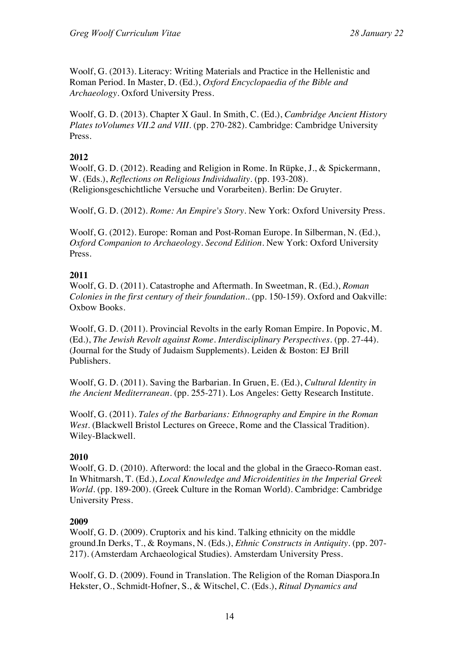Woolf, G. (2013). Literacy: Writing Materials and Practice in the Hellenistic and Roman Period. In Master, D. (Ed.), *Oxford Encyclopaedia of the Bible and Archaeology.* Oxford University Press.

Woolf, G. D. (2013). Chapter X Gaul. In Smith, C. (Ed.), *Cambridge Ancient History Plates toVolumes VII.2 and VIII.* (pp. 270-282). Cambridge: Cambridge University Press.

## **2012**

Woolf, G. D. (2012). Reading and Religion in Rome. In Rüpke, J., & Spickermann, W. (Eds.), *Reflections on Religious Individuality.* (pp. 193-208). (Religionsgeschichtliche Versuche und Vorarbeiten). Berlin: De Gruyter.

Woolf, G. D. (2012). *Rome: An Empire's Story*. New York: Oxford University Press.

Woolf, G. (2012). Europe: Roman and Post-Roman Europe. In Silberman, N. (Ed.), *Oxford Companion to Archaeology. Second Edition.* New York: Oxford University Press.

## **2011**

Woolf, G. D. (2011). Catastrophe and Aftermath. In Sweetman, R. (Ed.), *Roman Colonies in the first century of their foundation..* (pp. 150-159). Oxford and Oakville: Oxbow Books.

Woolf, G. D. (2011). Provincial Revolts in the early Roman Empire. In Popovic, M. (Ed.), *The Jewish Revolt against Rome. Interdisciplinary Perspectives.* (pp. 27-44). (Journal for the Study of Judaism Supplements). Leiden & Boston: EJ Brill Publishers.

Woolf, G. D. (2011). Saving the Barbarian. In Gruen, E. (Ed.), *Cultural Identity in the Ancient Mediterranean.* (pp. 255-271). Los Angeles: Getty Research Institute.

Woolf, G. (2011). *Tales of the Barbarians: Ethnography and Empire in the Roman West*. (Blackwell Bristol Lectures on Greece, Rome and the Classical Tradition). Wiley-Blackwell.

## **2010**

Woolf, G. D. (2010). Afterword: the local and the global in the Graeco-Roman east. In Whitmarsh, T. (Ed.), *Local Knowledge and Microidentities in the Imperial Greek World.* (pp. 189-200). (Greek Culture in the Roman World). Cambridge: Cambridge University Press.

## **2009**

Woolf, G. D. (2009). Cruptorix and his kind. Talking ethnicity on the middle ground.In Derks, T., & Roymans, N. (Eds.), *Ethnic Constructs in Antiquity.* (pp. 207- 217). (Amsterdam Archaeological Studies). Amsterdam University Press.

Woolf, G. D. (2009). Found in Translation. The Religion of the Roman Diaspora.In Hekster, O., Schmidt-Hofner, S., & Witschel, C. (Eds.), *Ritual Dynamics and*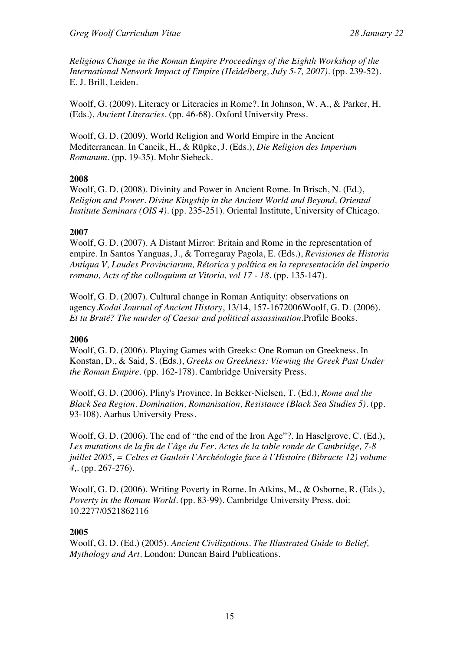*Religious Change in the Roman Empire Proceedings of the Eighth Workshop of the International Network Impact of Empire (Heidelberg, July 5-7, 2007).* (pp. 239-52). E. J. Brill, Leiden.

Woolf, G. (2009). Literacy or Literacies in Rome?. In Johnson, W. A., & Parker, H. (Eds.), *Ancient Literacies.* (pp. 46-68). Oxford University Press.

Woolf, G. D. (2009). World Religion and World Empire in the Ancient Mediterranean. In Cancik, H., & Rüpke, J. (Eds.), *Die Religion des Imperium Romanum.* (pp. 19-35). Mohr Siebeck.

## **2008**

Woolf, G. D. (2008). Divinity and Power in Ancient Rome. In Brisch, N. (Ed.), *Religion and Power. Divine Kingship in the Ancient World and Beyond, Oriental Institute Seminars (OIS 4).* (pp. 235-251). Oriental Institute, University of Chicago.

## **2007**

Woolf, G. D. (2007). A Distant Mirror: Britain and Rome in the representation of empire. In Santos Yanguas, J., & Torregaray Pagola, E. (Eds.), *Revisiones de Historia Antiqua V, Laudes Provinciarum, Rétorica y política en la representación del imperio romano, Acts of the colloquium at Vitoria, vol 17 - 18.* (pp. 135-147).

Woolf, G. D. (2007). Cultural change in Roman Antiquity: observations on agency.*Kodai Journal of Ancient History*, 13/14, 157-1672006Woolf, G. D. (2006). *Et tu Bruté? The murder of Caesar and political assassination.*Profile Books.

## **2006**

Woolf, G. D. (2006). Playing Games with Greeks: One Roman on Greekness. In Konstan, D., & Said, S. (Eds.), *Greeks on Greekness: Viewing the Greek Past Under the Roman Empire.* (pp. 162-178). Cambridge University Press.

Woolf, G. D. (2006). Pliny's Province. In Bekker-Nielsen, T. (Ed.), *Rome and the Black Sea Region. Domination, Romanisation, Resistance (Black Sea Studies 5).* (pp. 93-108). Aarhus University Press.

Woolf, G. D. (2006). The end of "the end of the Iron Age"?. In Haselgrove, C. (Ed.), *Les mutations de la fin de l'âge du Fer. Actes de la table ronde de Cambridge, 7-8 juillet 2005, = Celtes et Gaulois l'Archéologie face à l'Histoire (Bibracte 12) volume 4,.* (pp. 267-276).

Woolf, G. D. (2006). Writing Poverty in Rome. In Atkins, M., & Osborne, R. (Eds.), *Poverty in the Roman World.* (pp. 83-99). Cambridge University Press. doi: 10.2277/0521862116

## **2005**

Woolf, G. D. (Ed.) (2005). *Ancient Civilizations. The Illustrated Guide to Belief, Mythology and Art*. London: Duncan Baird Publications.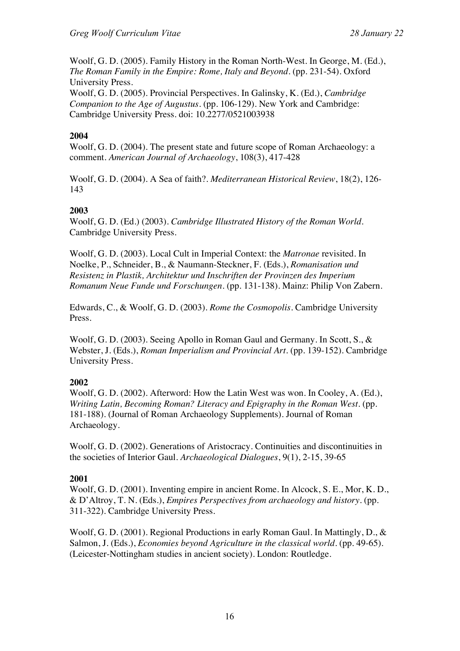Woolf, G. D. (2005). Family History in the Roman North-West. In George, M. (Ed.), *The Roman Family in the Empire: Rome, Italy and Beyond.* (pp. 231-54). Oxford University Press.

Woolf, G. D. (2005). Provincial Perspectives. In Galinsky, K. (Ed.), *Cambridge Companion to the Age of Augustus.* (pp. 106-129). New York and Cambridge: Cambridge University Press. doi: 10.2277/0521003938

## **2004**

Woolf, G. D. (2004). The present state and future scope of Roman Archaeology: a comment. *American Journal of Archaeology*, 108(3), 417-428

Woolf, G. D. (2004). A Sea of faith?. *Mediterranean Historical Review*, 18(2), 126- 143

## **2003**

Woolf, G. D. (Ed.) (2003). *Cambridge Illustrated History of the Roman World*. Cambridge University Press.

Woolf, G. D. (2003). Local Cult in Imperial Context: the *Matronae* revisited. In Noelke, P., Schneider, B., & Naumann-Steckner, F. (Eds.), *Romanisation und Resistenz in Plastik, Architektur und Inschriften der Provinzen des Imperium Romanum Neue Funde und Forschungen.* (pp. 131-138). Mainz: Philip Von Zabern.

Edwards, C., & Woolf, G. D. (2003). *Rome the Cosmopolis*. Cambridge University Press.

Woolf, G. D. (2003). Seeing Apollo in Roman Gaul and Germany. In Scott, S., & Webster, J. (Eds.), *Roman Imperialism and Provincial Art.* (pp. 139-152). Cambridge University Press.

## **2002**

Woolf, G. D. (2002). Afterword: How the Latin West was won. In Cooley, A. (Ed.), *Writing Latin, Becoming Roman? Literacy and Epigraphy in the Roman West.* (pp. 181-188). (Journal of Roman Archaeology Supplements). Journal of Roman Archaeology.

Woolf, G. D. (2002). Generations of Aristocracy. Continuities and discontinuities in the societies of Interior Gaul. *Archaeological Dialogues*, 9(1), 2-15, 39-65

## **2001**

Woolf, G. D. (2001). Inventing empire in ancient Rome. In Alcock, S. E., Mor, K. D., & D'Altroy, T. N. (Eds.), *Empires Perspectives from archaeology and history.* (pp. 311-322). Cambridge University Press.

Woolf, G. D. (2001). Regional Productions in early Roman Gaul. In Mattingly, D., & Salmon, J. (Eds.), *Economies beyond Agriculture in the classical world.* (pp. 49-65). (Leicester-Nottingham studies in ancient society). London: Routledge.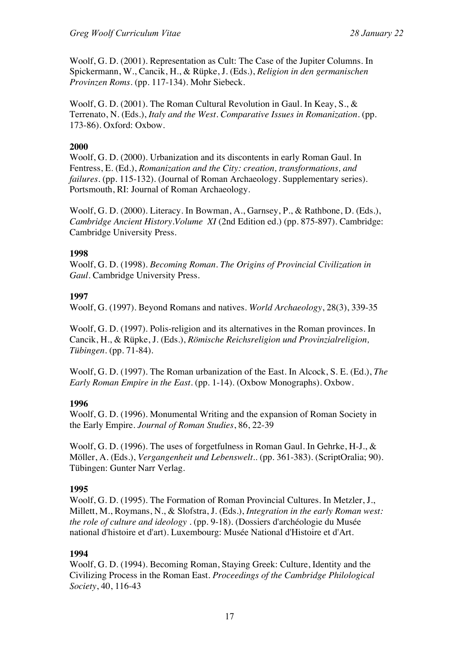Woolf, G. D. (2001). Representation as Cult: The Case of the Jupiter Columns. In Spickermann, W., Cancik, H., & Rüpke, J. (Eds.), *Religion in den germanischen Provinzen Roms.* (pp. 117-134). Mohr Siebeck.

Woolf, G. D. (2001). The Roman Cultural Revolution in Gaul. In Keay, S., & Terrenato, N. (Eds.), *Italy and the West. Comparative Issues in Romanization.* (pp. 173-86). Oxford: Oxbow.

## **2000**

Woolf, G. D. (2000). Urbanization and its discontents in early Roman Gaul. In Fentress, E. (Ed.), *Romanization and the City: creation, transformations, and failures.* (pp. 115-132). (Journal of Roman Archaeology. Supplementary series). Portsmouth, RI: Journal of Roman Archaeology.

Woolf, G. D. (2000). Literacy. In Bowman, A., Garnsey, P., & Rathbone, D. (Eds.), *Cambridge Ancient History*.*Volume XI* (2nd Edition ed.) (pp. 875-897). Cambridge: Cambridge University Press.

#### **1998**

Woolf, G. D. (1998). *Becoming Roman. The Origins of Provincial Civilization in Gaul*. Cambridge University Press.

## **1997**

Woolf, G. (1997). Beyond Romans and natives. *World Archaeology*, 28(3), 339-35

Woolf, G. D. (1997). Polis-religion and its alternatives in the Roman provinces. In Cancik, H., & Rüpke, J. (Eds.), *Römische Reichsreligion und Provinzialreligion, Tübingen.* (pp. 71-84).

Woolf, G. D. (1997). The Roman urbanization of the East. In Alcock, S. E. (Ed.), *The Early Roman Empire in the East.* (pp. 1-14). (Oxbow Monographs). Oxbow.

## **1996**

Woolf, G. D. (1996). Monumental Writing and the expansion of Roman Society in the Early Empire. *Journal of Roman Studies*, 86, 22-39

Woolf, G. D. (1996). The uses of forgetfulness in Roman Gaul. In Gehrke, H-J., & Möller, A. (Eds.), *Vergangenheit und Lebenswelt..* (pp. 361-383). (ScriptOralia; 90). Tübingen: Gunter Narr Verlag.

## **1995**

Woolf, G. D. (1995). The Formation of Roman Provincial Cultures. In Metzler, J., Millett, M., Roymans, N., & Slofstra, J. (Eds.), *Integration in the early Roman west: the role of culture and ideology .* (pp. 9-18). (Dossiers d'archéologie du Musée national d'histoire et d'art). Luxembourg: Musée National d'Histoire et d'Art.

#### **1994**

Woolf, G. D. (1994). Becoming Roman, Staying Greek: Culture, Identity and the Civilizing Process in the Roman East. *Proceedings of the Cambridge Philological Society*, 40, 116-43